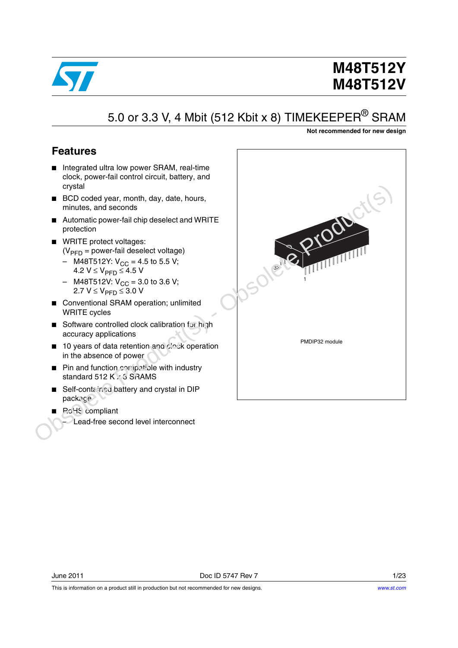

# **M48T512Y M48T512V**

# 5.0 or 3.3 V, 4 Mbit (512 Kbit x 8) TIMEKEEPER<sup>®</sup> SRAM

**Not recommended for new design**

### <span id="page-0-0"></span>**Features**

- Integrated ultra low power SRAM, real-time clock, power-fail control circuit, battery, and crystal
- BCD coded year, month, day, date, hours, minutes, and seconds
- Automatic power-fail chip deselect and WRITE protection
- WRITE protect voltages:  $(V_{\text{PFD}} =$  power-fail deselect voltage)
	- M48T512Y:  $V_{CC}$  = 4.5 to 5.5 V; 4.2  $V$  ≤  $V_{\text{PFD}}$  ≤ 4.5 V
	- M48T512V:  $V_{CC}$  = 3.0 to 3.6 V; 2.7  $V$  ≤  $V_{\text{PFD}}$  ≤ 3.0 V
- Conventional SRAM operation; unlimited WRITE cycles
- Software controlled clock calibration for high accuracy applications
- 10 years of data retention and clock operation in the absence of power
- Pin and function compatible with industry standard 512 K x 3 SRAMS
- Self-contained battery and crystal in DIP package
- PoHS compliant
	- Lead-free second level interconnect

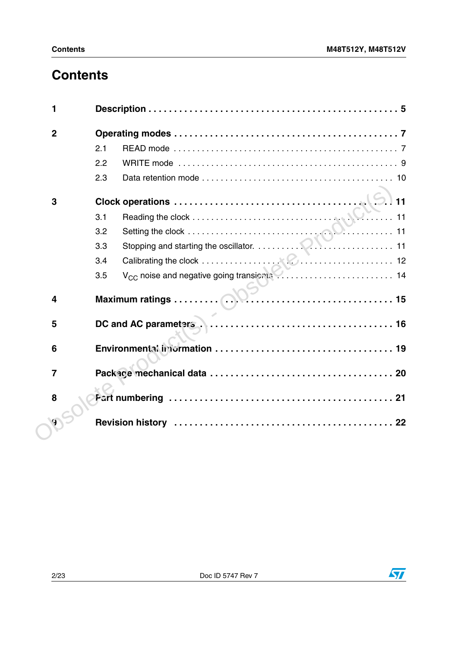# **Contents**

| 1              |                                                                |
|----------------|----------------------------------------------------------------|
| $\mathbf 2$    |                                                                |
|                | 2.1                                                            |
|                | 2.2                                                            |
|                | 2.3                                                            |
| 3              | 11                                                             |
|                | 3.1                                                            |
|                | 3.2                                                            |
|                | 3.3                                                            |
|                | 3.4                                                            |
|                | V <sub>CC</sub> noise and negative going transients  14<br>3.5 |
| 4              |                                                                |
| 5              |                                                                |
| 6              |                                                                |
| $\overline{7}$ |                                                                |
| 8              |                                                                |
|                |                                                                |
|                |                                                                |
|                |                                                                |

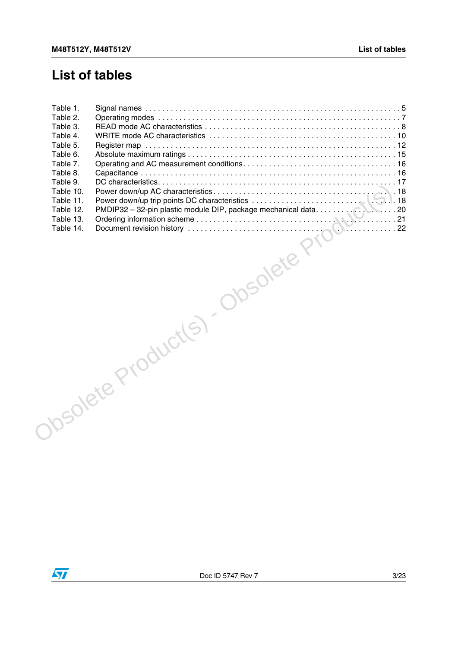### **List of tables**

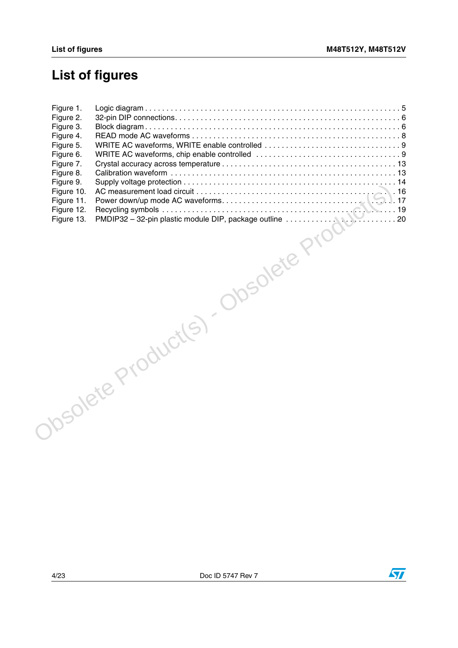# **List of figures**

| NOCHER PRODUCTS |
|-----------------|

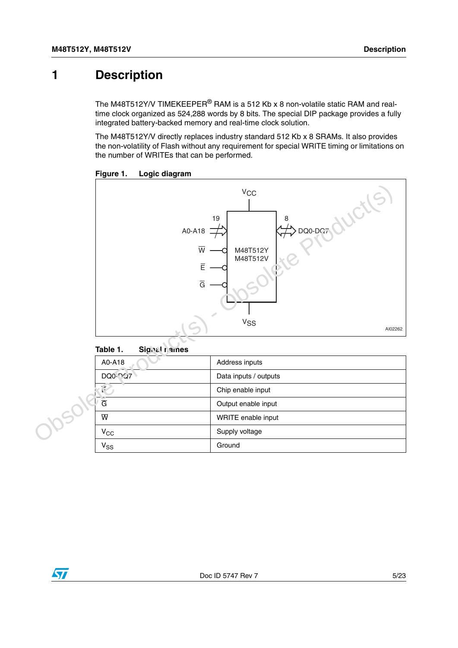### <span id="page-4-0"></span>**1 Description**

The M48T512Y/V TIMEKEEPER<sup>®</sup> RAM is a 512 Kb x 8 non-volatile static RAM and realtime clock organized as 524,288 words by 8 bits. The special DIP package provides a fully integrated battery-backed memory and real-time clock solution.

The M48T512Y/V directly replaces industry standard 512 Kb x 8 SRAMs. It also provides the non-volatility of Flash without any requirement for special WRITE timing or limitations on the number of WRITEs that can be performed.



<span id="page-4-2"></span>

#### <span id="page-4-1"></span>**Table 1. Signal names**

| A0-A18                  | Address inputs        |
|-------------------------|-----------------------|
| <b>DQ0-PQ7</b>          | Data inputs / outputs |
| 4P                      | Chip enable input     |
| $\overline{G}$          | Output enable input   |
| $\overline{\mathsf{w}}$ | WRITE enable input    |
| $V_{CC}$                | Supply voltage        |
| $V_{SS}$                | Ground                |

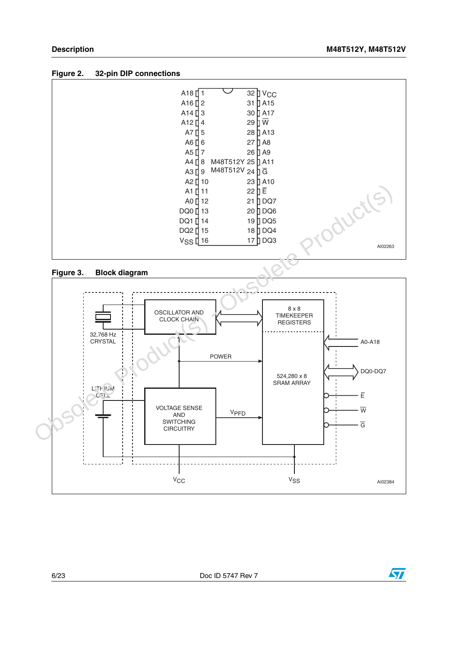<span id="page-5-0"></span>



<span id="page-5-1"></span>



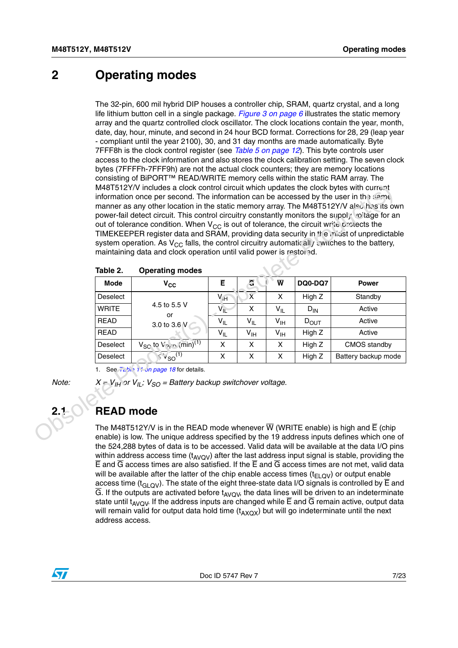### <span id="page-6-0"></span>**2 Operating modes**

The 32-pin, 600 mil hybrid DIP houses a controller chip, SRAM, quartz crystal, and a long life lithium button cell in a single package. *[Figure 3 on page 6](#page-5-1)* illustrates the static memory array and the quartz controlled clock oscillator. The clock locations contain the year, month, date, day, hour, minute, and second in 24 hour BCD format. Corrections for 28, 29 (leap year - compliant until the year 2100), 30, and 31 day months are made automatically. Byte 7FFF8h is the clock control register (see *[Table 5 on page 12](#page-11-1)*). This byte controls user access to the clock information and also stores the clock calibration setting. The seven clock bytes (7FFFFh-7FFF9h) are not the actual clock counters; they are memory locations consisting of BiPORT™ READ/WRITE memory cells within the static RAM array. The M48T512Y/V includes a clock control circuit which updates the clock bytes with current information once per second. The information can be accessed by the user in the same manner as any other location in the static memory array. The M48T512Y/V also has its own power-fail detect circuit. This control circuitry constantly monitors the supply voltage for an out of tolerance condition. When  $V_{CC}$  is out of tolerance, the circuit write protects the TIMEKEEPER register data and SRAM, providing data security in the midst of unpredictable system operation. As  $V_{CC}$  falls, the control circuitry automatically switches to the battery, maintaining data and clock operation until valid power is restored.

|              |                                                                                                                                                                                                                                                                                                                                                                                                                                                                                                                                                                       | M48T512Y/V includes a clock control circuit which updates the clock bytes with current<br>information once per second. The information can be accessed by the user in the same<br>manner as any other location in the static memory array. The M48T512Y/V also has its own<br>power-fail detect circuit. This control circuitry constantly monitors the supply voltage for an<br>out of tolerance condition. When $V_{CC}$ is out of tolerance, the circuit write protects the<br>TIMEKEEPER register data and SRAM, providing data security in the midst of unpredictable<br>system operation. As $V_{CC}$ falls, the control circuitry automatically switches to the battery,<br>maintaining data and clock operation until valid power is restored. |                 |                            |                         |                  |                     |  |
|--------------|-----------------------------------------------------------------------------------------------------------------------------------------------------------------------------------------------------------------------------------------------------------------------------------------------------------------------------------------------------------------------------------------------------------------------------------------------------------------------------------------------------------------------------------------------------------------------|--------------------------------------------------------------------------------------------------------------------------------------------------------------------------------------------------------------------------------------------------------------------------------------------------------------------------------------------------------------------------------------------------------------------------------------------------------------------------------------------------------------------------------------------------------------------------------------------------------------------------------------------------------------------------------------------------------------------------------------------------------|-----------------|----------------------------|-------------------------|------------------|---------------------|--|
|              | Table 2.                                                                                                                                                                                                                                                                                                                                                                                                                                                                                                                                                              | <b>Operating modes</b>                                                                                                                                                                                                                                                                                                                                                                                                                                                                                                                                                                                                                                                                                                                                 |                 |                            |                         |                  |                     |  |
|              | <b>Mode</b>                                                                                                                                                                                                                                                                                                                                                                                                                                                                                                                                                           | $V_{CC}$                                                                                                                                                                                                                                                                                                                                                                                                                                                                                                                                                                                                                                                                                                                                               | Ē               | $\overline{c}$             | $\overline{\mathsf{w}}$ | <b>DQ0-DQ7</b>   | <b>Power</b>        |  |
|              | Deselect                                                                                                                                                                                                                                                                                                                                                                                                                                                                                                                                                              | 4.5 to 5.5 V<br>or<br>3.0 to 3.6 V                                                                                                                                                                                                                                                                                                                                                                                                                                                                                                                                                                                                                                                                                                                     | $V_{\text{fH}}$ | $\overline{\mathsf{x}}$    | X                       | High Z           | Standby             |  |
|              | <b>WRITE</b>                                                                                                                                                                                                                                                                                                                                                                                                                                                                                                                                                          |                                                                                                                                                                                                                                                                                                                                                                                                                                                                                                                                                                                                                                                                                                                                                        | $V_{IL}$        | X                          | $V_{IL}$                | $D_{IN}$         | Active              |  |
|              | <b>READ</b>                                                                                                                                                                                                                                                                                                                                                                                                                                                                                                                                                           |                                                                                                                                                                                                                                                                                                                                                                                                                                                                                                                                                                                                                                                                                                                                                        | $V_{IL}$        | $V_{IL}$                   | $V_{\text{IH}}$         | $D_{\text{OUT}}$ | Active              |  |
|              | <b>READ</b>                                                                                                                                                                                                                                                                                                                                                                                                                                                                                                                                                           |                                                                                                                                                                                                                                                                                                                                                                                                                                                                                                                                                                                                                                                                                                                                                        | $V_{IL}$        | $\mathsf{v}_{\mathsf{IH}}$ | $V_{\text{IH}}$         | High Z           | Active              |  |
|              | Deselect                                                                                                                                                                                                                                                                                                                                                                                                                                                                                                                                                              | $V_{SC}$ to $V_{21} \sim (min)^{(1)}$                                                                                                                                                                                                                                                                                                                                                                                                                                                                                                                                                                                                                                                                                                                  | X               | X                          | $\times$                | High Z           | CMOS standby        |  |
|              | Deselect                                                                                                                                                                                                                                                                                                                                                                                                                                                                                                                                                              | $\leq v_{SO}(1)$                                                                                                                                                                                                                                                                                                                                                                                                                                                                                                                                                                                                                                                                                                                                       | X               | X                          | X                       | High Z           | Battery backup mode |  |
|              |                                                                                                                                                                                                                                                                                                                                                                                                                                                                                                                                                                       | 1. See <i>i</i> ably 1.1 <i>Jn page 18</i> for details.                                                                                                                                                                                                                                                                                                                                                                                                                                                                                                                                                                                                                                                                                                |                 |                            |                         |                  |                     |  |
| Note:<br>2.1 | <b>READ mode</b>                                                                                                                                                                                                                                                                                                                                                                                                                                                                                                                                                      | $X = V_{IH}$ or $V_{IL}$ ; $V_{SO}$ = Battery backup switchover voltage.                                                                                                                                                                                                                                                                                                                                                                                                                                                                                                                                                                                                                                                                               |                 |                            |                         |                  |                     |  |
|              | The M48T512Y/V is in the READ mode whenever $\overline{W}$ (WRITE enable) is high and $\overline{E}$ (chip<br>enable) is low. The unique address specified by the 19 address inputs defines which one of<br>the 524,288 bytes of data is to be accessed. Valid data will be available at the data I/O pins<br>within address access time $(t_{AVQV})$ after the last address input signal is stable, providing the<br>$\overline{F}$ and $\overline{G}$ access times are also satisfied. If the $\overline{F}$ and $\overline{G}$ access times are not met valid data |                                                                                                                                                                                                                                                                                                                                                                                                                                                                                                                                                                                                                                                                                                                                                        |                 |                            |                         |                  |                     |  |

<span id="page-6-2"></span>

### <span id="page-6-1"></span>**2.1 READ mode**

The M48T512Y/V is in the READ mode whenever  $\overline{W}$  (WRITE enable) is high and  $\overline{E}$  (chip enable) is low. The unique address specified by the 19 address inputs defines which one of the 524,288 bytes of data is to be accessed. Valid data will be available at the data I/O pins within address access time  $(t_{AVOV})$  after the last address input signal is stable, providing the  $\overline{E}$  and  $\overline{G}$  access times are also satisfied. If the  $\overline{E}$  and  $\overline{G}$  access times are not met, valid data will be available after the latter of the chip enable access times  $(t_{F\cap QV})$  or output enable access time ( $t_{\text{GI QV}}$ ). The state of the eight three-state data I/O signals is controlled by  $\overline{E}$  and  $\overline{G}$ . If the outputs are activated before t<sub>AVOV</sub>, the data lines will be driven to an indeterminate state until t<sub>AVOV</sub>. If the address inputs are changed while  $\overline{E}$  and  $\overline{G}$  remain active, output data will remain valid for output data hold time  $(t_{\text{AVOX}})$  but will go indeterminate until the next address access.

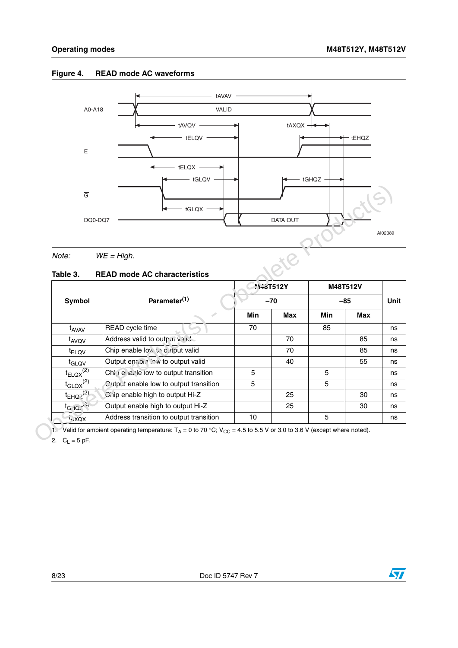

#### <span id="page-7-1"></span>**Figure 4. READ mode AC waveforms**

#### <span id="page-7-0"></span>**Table 3. READ mode AC characteristics**

| DQ0-DQ7                      |                                                                                                                                      |       | DATA OUT        |       |            |
|------------------------------|--------------------------------------------------------------------------------------------------------------------------------------|-------|-----------------|-------|------------|
|                              |                                                                                                                                      |       |                 |       |            |
| Note:                        | $\overline{WE}$ = High.                                                                                                              |       |                 |       |            |
| Table 3.                     | <b>READ mode AC characteristics</b>                                                                                                  |       |                 |       |            |
|                              |                                                                                                                                      |       | <b>N-8T512Y</b> |       | M48T512V   |
| Symbol                       | Parameter <sup>(1)</sup>                                                                                                             | $-70$ |                 | $-85$ |            |
|                              |                                                                                                                                      | Min   | <b>Max</b>      | Min   | <b>Max</b> |
| t <sub>AVAV</sub>            | READ cycle time                                                                                                                      | 70    |                 | 85    |            |
| t <sub>AVQV</sub>            | Address valid to output valid                                                                                                        |       | 70              |       | 85         |
| <sup>t</sup> ELQV            | Chip enable low to output valid                                                                                                      |       | 70              |       | 85         |
| t <sub>GLQV</sub>            | Output enable low to output valid                                                                                                    |       | 40              |       | 55         |
| $t_{ELOX}$ <sup>(2)</sup>    | Chi, e la Ne low to output transition                                                                                                | 5     |                 | 5     |            |
| $t_{\text{GLQX}}^{(2)}$      | Cutput enable low to output transition                                                                                               | 5     |                 | 5     |            |
| $t_{EHQ}$ <sup>(2)</sup>     | Chip enable high to output Hi-Z                                                                                                      |       | 25              |       | 30         |
| $t_{G/1Q}$ , $\frac{1}{2}$ , | Output enable high to output Hi-Z                                                                                                    |       | 25              |       | 30         |
| $V$ XQX                      | Address transition to output transition                                                                                              | 10    |                 | 5     |            |
|                              | 1. Valid for ambient operating temperature: $T_A = 0$ to 70 °C; V <sub>CC</sub> = 4.5 to 5.5 V or 3.0 to 3.6 V (except where noted). |       |                 |       |            |

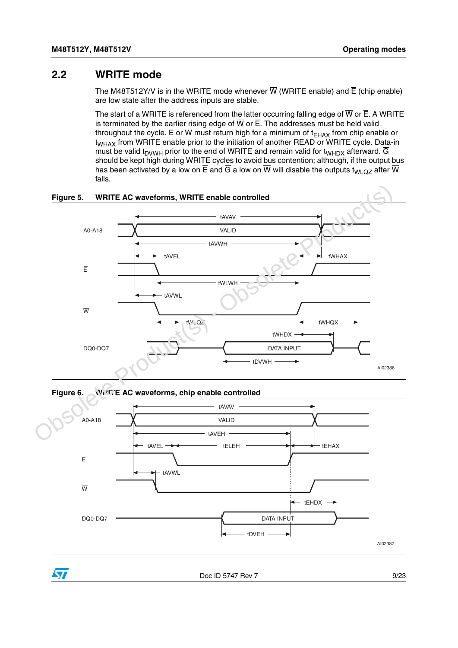#### <span id="page-8-0"></span>**2.2 WRITE mode**

The M48T512Y/V is in the WRITE mode whenever  $\overline{W}$  (WRITE enable) and  $\overline{E}$  (chip enable) are low state after the address inputs are stable.

The start of a WRITE is referenced from the latter occurring falling edge of  $\overline{W}$  or  $\overline{E}$ . A WRITE is terminated by the earlier rising edge of  $\overline{W}$  or  $\overline{E}$ . The addresses must be held valid throughout the cycle.  $\overline{E}$  or  $\overline{W}$  must return high for a minimum of t<sub>FHAX</sub> from chip enable or  $t_{WHAX}$  from WRITE enable prior to the initiation of another READ or WRITE cycle. Data-in must be valid t<sub>DVWH</sub> prior to the end of WRITE and remain valid for t<sub>WHDX</sub> afterward.  $\overline{G}$ should be kept high during WRITE cycles to avoid bus contention; although, if the output bus has been activated by a low on  $\overline{E}$  and  $\overline{G}$  a low on  $\overline{W}$  will disable the outputs t<sub>WLQZ</sub> after  $\overline{W}$ falls.

<span id="page-8-1"></span>

<span id="page-8-2"></span>

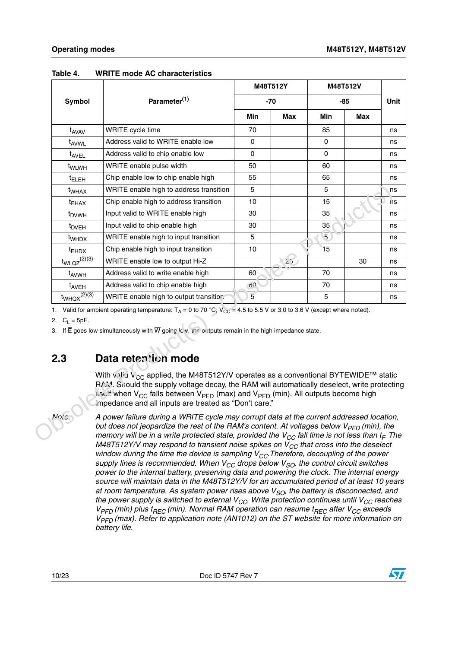|                              |                                                                                                                                                                                                                                                                                                                                                                                                                                                                                                                                                                                                |      | M48T512Y | M48T512V       |     |                        |
|------------------------------|------------------------------------------------------------------------------------------------------------------------------------------------------------------------------------------------------------------------------------------------------------------------------------------------------------------------------------------------------------------------------------------------------------------------------------------------------------------------------------------------------------------------------------------------------------------------------------------------|------|----------|----------------|-----|------------------------|
| Symbol                       | Parameter <sup>(1)</sup>                                                                                                                                                                                                                                                                                                                                                                                                                                                                                                                                                                       |      | $-70$    |                | -85 | <b>Unit</b>            |
|                              |                                                                                                                                                                                                                                                                                                                                                                                                                                                                                                                                                                                                | Min  | Max      | Min            | Max |                        |
| t <sub>AVAV</sub>            | WRITE cycle time                                                                                                                                                                                                                                                                                                                                                                                                                                                                                                                                                                               | 70   |          | 85             |     | ns                     |
| t <sub>AVWL</sub>            | Address valid to WRITE enable low                                                                                                                                                                                                                                                                                                                                                                                                                                                                                                                                                              | 0    |          | 0              |     | ns                     |
| t <sub>AVEL</sub>            | Address valid to chip enable low                                                                                                                                                                                                                                                                                                                                                                                                                                                                                                                                                               | 0    |          | 0              |     | ns                     |
| t <sub>WLWH</sub>            | WRITE enable pulse width                                                                                                                                                                                                                                                                                                                                                                                                                                                                                                                                                                       | 50   |          | 60             |     | ns                     |
| <sup>t</sup> ELEH            | Chip enable low to chip enable high                                                                                                                                                                                                                                                                                                                                                                                                                                                                                                                                                            | 55   |          | 65             |     | ns                     |
| t <sub>WHAX</sub>            | WRITE enable high to address transition                                                                                                                                                                                                                                                                                                                                                                                                                                                                                                                                                        | 5    |          | 5              |     | ns                     |
| $t_{EHAX}$                   | Chip enable high to address transition                                                                                                                                                                                                                                                                                                                                                                                                                                                                                                                                                         | 10   |          | 15             |     | $\overline{\text{ns}}$ |
| t <sub>DVWH</sub>            | Input valid to WRITE enable high                                                                                                                                                                                                                                                                                                                                                                                                                                                                                                                                                               | 30   |          | 35             |     | ns                     |
| <sup>t</sup> <sub>DVEH</sub> | Input valid to chip enable high                                                                                                                                                                                                                                                                                                                                                                                                                                                                                                                                                                | 30   |          | 35             |     | ns                     |
| t <sub>WHDX</sub>            | WRITE enable high to input transition                                                                                                                                                                                                                                                                                                                                                                                                                                                                                                                                                          | 5    |          | $\overline{5}$ |     | ns                     |
| <sup>t</sup> EHDX            | Chip enable high to input transition                                                                                                                                                                                                                                                                                                                                                                                                                                                                                                                                                           | 10   |          | 15             |     | ns                     |
| $t_{WLQZ}$ <sup>(2)(3)</sup> | WRITE enable low to output Hi-Z                                                                                                                                                                                                                                                                                                                                                                                                                                                                                                                                                                |      | 250      |                | 30  | ns                     |
| t <sub>AVWH</sub>            | Address valid to write enable high                                                                                                                                                                                                                                                                                                                                                                                                                                                                                                                                                             | 60   |          | 70             |     | ns                     |
| t <sub>AVEH</sub>            | Address valid to chip enable high                                                                                                                                                                                                                                                                                                                                                                                                                                                                                                                                                              | O(1) |          | 70             |     | ns                     |
| $t_{WHQX}$ <sup>(2)(3)</sup> | WRITE enable high to output transitior.                                                                                                                                                                                                                                                                                                                                                                                                                                                                                                                                                        | 5    |          | 5              |     | ns                     |
| 2. $C_1 = 5pF$ .<br>2.3      | 1. Valid for ambient operating temperature: $T_A = 0$ to 70 °C; $V_{CC} = 4.5$ to 5.5 V or 3.0 to 3.6 V (except where noted).<br>3. If $\overline{E}$ goes low simultaneously with $\overline{W}$ going Ic v, the outputs remain in the high impedance state.<br>Data retention mode                                                                                                                                                                                                                                                                                                           |      |          |                |     |                        |
|                              | With vertal V <sub>CC</sub> applied, the M48T512Y/V operates as a conventional BYTEWIDE <sup>TM</sup> static<br>RAM. Should the supply voltage decay, the RAM will automatically deselect, write protecting<br>$\kappa$ se.!: when V <sub>CC</sub> falls between V <sub>PFD</sub> (max) and V <sub>PFD</sub> (min). All outputs become high<br>impedance and all inputs are treated as "Don't care."                                                                                                                                                                                           |      |          |                |     |                        |
| No.s                         | A power failure during a WRITE cycle may corrupt data at the current addressed location,<br>but does not jeopardize the rest of the RAM's content. At voltages below $V_{PFD}$ (min), the<br>memory will be in a write protected state, provided the $V_{CC}$ fall time is not less than $t_F$ The<br>M48T512Y/V may respond to transient noise spikes on $V_{CC}$ that cross into the deselect<br>window during the time the device is sampling $V_{CC}$ . Therefore, decoupling of the power<br>supply lines is recommended. When $V_{CC}$ drops below $V_{CC}$ the control circuit switches |      |          |                |     |                        |

#### <span id="page-9-1"></span>**Table 4. WRITE mode AC characteristics**

### <span id="page-9-0"></span>**2.3 Data retention mode**

*Note: A power failure during a WRITE cycle may corrupt data at the current addressed location, but does not jeopardize the rest of the RAM's content. At voltages below V<sub>PFD</sub> (min), the memory will be in a write protected state, provided the*  $V_{CC}$  *fall time is not less than t<sub>F</sub>. The M48T512Y/V may respond to transient noise spikes on V<sub>CC</sub> that cross into the deselect window during the time the device is sampling*  $V_{CC}$ *. Therefore, decoupling of the power supply lines is recommended. When*  $V_{CC}$  *drops below*  $V_{SO}$ *, the control circuit switches power to the internal battery, preserving data and powering the clock. The internal energy source will maintain data in the M48T512Y/V for an accumulated period of at least 10 years*  at room temperature. As system power rises above  $V_{SO}$ , the battery is disconnected, and the power supply is switched to external  $V_{CC}$ . Write protection continues until  $V_{CC}$  reaches  $V_{PFD}$  (min) plus t<sub>REC</sub> (min). Normal RAM operation can resume t<sub>REC</sub> after  $V_{CC}$  exceeds *V<sub>PFD</sub>* (max). Refer to application note (AN1012) on the ST website for more information on *battery life.*

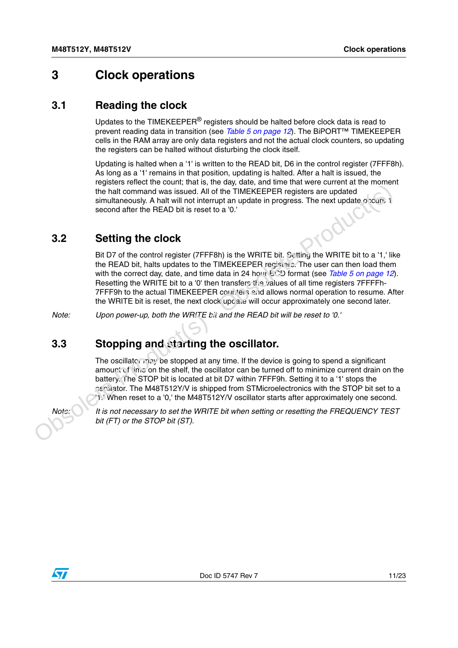### <span id="page-10-0"></span>**3 Clock operations**

#### <span id="page-10-1"></span>**3.1 Reading the clock**

Updates to the TIMEKEEPER® registers should be halted before clock data is read to prevent reading data in transition (see *[Table 5 on page 12](#page-11-1)*). The BiPORT™ TIMEKEEPER cells in the RAM array are only data registers and not the actual clock counters, so updating the registers can be halted without disturbing the clock itself.

Updating is halted when a '1' is written to the READ bit, D6 in the control register (7FFF8h). As long as a '1' remains in that position, updating is halted. After a halt is issued, the registers reflect the count; that is, the day, date, and time that were current at the moment the halt command was issued. All of the TIMEKEEPER registers are updated simultaneously. A halt will not interrupt an update in progress. The next update occurs, 1 second after the READ bit is reset to a '0.'

#### <span id="page-10-2"></span>**3.2 Setting the clock**

Bit D7 of the control register (7FFF8h) is the WRITE bit. Setting the WRITE bit to a '1,' like the READ bit, halts updates to the TIMEKEEPER registers. The user can then load them with the correct day, date, and time data in 24 hour  $ECD$  format (see *Table 5 on page 12*). Resetting the WRITE bit to a '0' then transfers the values of all time registers 7FFFFh-7FFF9h to the actual TIMEKEEPER counters and allows normal operation to resume. After the WRITE bit is reset, the next clock update will occur approximately one second later. For the baseled Motivation of the Social All of the TMEKEEPER registers are updated simulationously. A half with interligent an update in progress. The next update o zours is seed of all of the TMEKEEPER registers. The ne

*Note: Upon power-up, both the WRITE bit and the READ bit will be reset to '0.'*

#### <span id="page-10-3"></span>**3.3 Stopping and starting the oscillator.**

The oscillator may be stopped at any time. If the device is going to spend a significant amount of time on the shelf, the oscillator can be turned off to minimize current drain on the battery. The STOP bit is located at bit D7 within 7FFF9h. Setting it to a '1' stops the oscillator. The M48T512Y/V is shipped from STMicroelectronics with the STOP bit set to a '1.' When reset to a '0,' the M48T512Y/V oscillator starts after approximately one second.

*Note: It is not necessary to set the WRITE bit when setting or resetting the FREQUENCY TEST bit (FT) or the STOP bit (ST).*

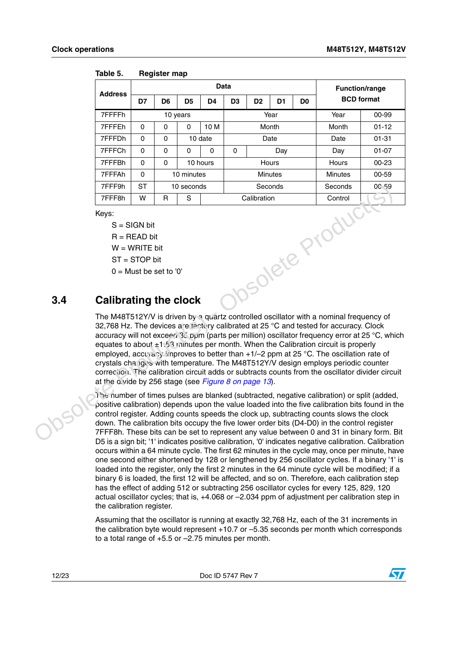| <b>Address</b> | Data     |          |                |          |                |                |    |                | <b>Function/range</b> |           |
|----------------|----------|----------|----------------|----------|----------------|----------------|----|----------------|-----------------------|-----------|
|                | D7       | D6       | D <sub>5</sub> | D4       | D <sub>3</sub> | D <sub>2</sub> | D1 | D <sub>0</sub> | <b>BCD</b> format     |           |
| 7FFFFh         |          |          | 10 years       |          | Year           |                |    |                | Year                  | 00-99     |
| 7FFFEh         | 0        | $\Omega$ | 0              | 10 M     | Month          |                |    |                | Month                 | $01 - 12$ |
| 7FFFDh         | $\Omega$ | $\Omega$ |                | 10 date  | Date           |                |    |                | Date                  | $01 - 31$ |
| 7FFFCh         | $\Omega$ | 0        | 0              | 0        | 0<br>Day       |                |    |                | Day                   | $01 - 07$ |
| 7FFFBh         | $\Omega$ | $\Omega$ |                | 10 hours | Hours          |                |    |                | Hours                 | $00 - 23$ |
| 7FFFAh         | $\Omega$ |          | 10 minutes     |          | <b>Minutes</b> |                |    |                | <b>Minutes</b>        | 00-59     |
| 7FFF9h         | ST       |          | 10 seconds     |          | Seconds        |                |    |                | Seconds               | OC 59     |
| 7FFF8h         | W        | R        | S              |          | Calibration    |                |    |                | Control               |           |

<span id="page-11-1"></span>

Keys:

 $S = SIGN$  bit

 $R = READ$  bit

 $W = WRITE$  bit

 $ST = STOP$  bit

 $0 =$  Must be set to '0'

### <span id="page-11-0"></span>**3.4 Calibrating the clock**

The M48T512Y/V is driven by a quartz controlled oscillator with a nominal frequency of 32,768 Hz. The devices are ractory calibrated at 25 °C and tested for accuracy. Clock accuracy will not exceed 35 ppm (parts per million) oscillator frequency error at 25 °C, which equates to about  $\pm 1.53$  minutes per month. When the Calibration circuit is properly employed, accuracy improves to better than  $+1/-2$  ppm at 25 °C. The oscillation rate of crystals changes with temperature. The M48T512Y/V design employs periodic counter correction. The calibration circuit adds or subtracts counts from the oscillator divider circuit at the divide by 256 stage (see *Figure 8 on page 13*).

The number of times pulses are blanked (subtracted, negative calibration) or split (added, positive calibration) depends upon the value loaded into the five calibration bits found in the control register. Adding counts speeds the clock up, subtracting counts slows the clock down. The calibration bits occupy the five lower order bits (D4-D0) in the control register 7FFF8h. These bits can be set to represent any value between 0 and 31 in binary form. Bit D5 is a sign bit; '1' indicates positive calibration, '0' indicates negative calibration. Calibration occurs within a 64 minute cycle. The first 62 minutes in the cycle may, once per minute, have one second either shortened by 128 or lengthened by 256 oscillator cycles. If a binary '1' is loaded into the register, only the first 2 minutes in the 64 minute cycle will be modified; if a binary 6 is loaded, the first 12 will be affected, and so on. Therefore, each calibration step has the effect of adding 512 or subtracting 256 oscillator cycles for every 125, 829, 120 actual oscillator cycles; that is, +4.068 or –2.034 ppm of adjustment per calibration step in the calibration register. TFFF9h ST<br>
TEFF9h ST 10 seconds<br>
Seconds Seconds Seconds 10 c-59<br>
TEFF9h W R S Calibration Control<br>
News:<br>
S = SIGN bit<br>
N = WRITE bit<br>
OF Must be set to '0'<br>
O = Must be set to '0'<br> **Calibrating the clock**<br>
The M48T512Y/

> Assuming that the oscillator is running at exactly 32,768 Hz, each of the 31 increments in the calibration byte would represent +10.7 or –5.35 seconds per month which corresponds to a total range of +5.5 or –2.75 minutes per month.

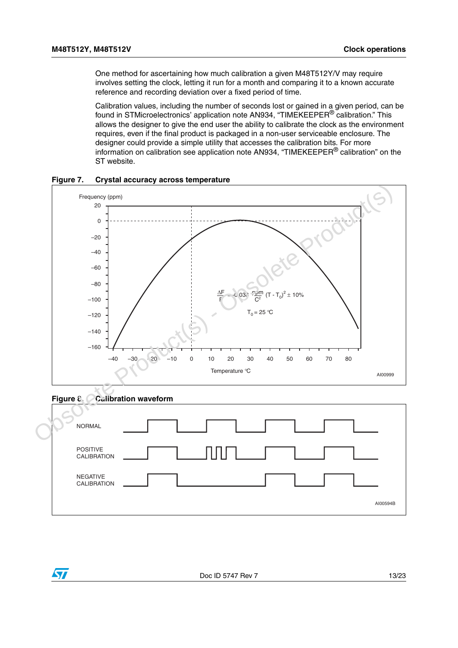One method for ascertaining how much calibration a given M48T512Y/V may require involves setting the clock, letting it run for a month and comparing it to a known accurate reference and recording deviation over a fixed period of time.

Calibration values, including the number of seconds lost or gained in a given period, can be found in STMicroelectronics' application note AN934, "TIMEKEEPER® calibration." This allows the designer to give the end user the ability to calibrate the clock as the environment requires, even if the final product is packaged in a non-user serviceable enclosure. The designer could provide a simple utility that accesses the calibration bits. For more information on calibration see application note AN934, "TIMEKEEPER® calibration" on the ST website.

<span id="page-12-0"></span>



<span id="page-12-1"></span>**Figure 8. Calibration waveform**

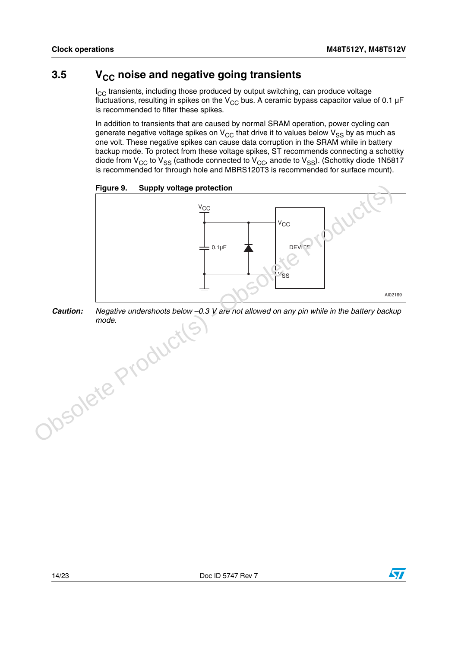#### <span id="page-13-0"></span>**3.5** V<sub>CC</sub> noise and negative going transients

 $I_{CC}$  transients, including those produced by output switching, can produce voltage fluctuations, resulting in spikes on the  $V_{CC}$  bus. A ceramic bypass capacitor value of 0.1 µF is recommended to filter these spikes.

In addition to transients that are caused by normal SRAM operation, power cycling can generate negative voltage spikes on  $V_{CC}$  that drive it to values below  $V_{SS}$  by as much as one volt. These negative spikes can cause data corruption in the SRAM while in battery backup mode. To protect from these voltage spikes, ST recommends connecting a schottky diode from V<sub>CC</sub> to V<sub>SS</sub> (cathode connected to V<sub>CC</sub>, anode to V<sub>SS</sub>). (Schottky diode 1N5817 is recommended for through hole and MBRS120T3 is recommended for surface mount).

<span id="page-13-1"></span>



*Caution: Negative undershoots below –0.3 V are not allowed on any pin while in the battery backup mode.*

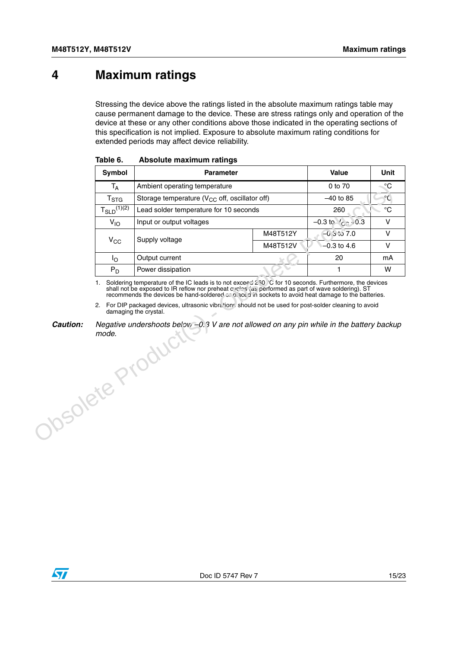### <span id="page-14-0"></span>**4 Maximum ratings**

Stressing the device above the ratings listed in the absolute maximum ratings table may cause permanent damage to the device. These are stress ratings only and operation of the device at these or any other conditions above those indicated in the operating sections of this specification is not implied. Exposure to absolute maximum rating conditions for extended periods may affect device reliability.

|                                     | Symbol             | <b>Parameter</b>                                                                                                                                                                                                                                                                                                                                                                                                                                                   |             | Value                       | Unit            |
|-------------------------------------|--------------------|--------------------------------------------------------------------------------------------------------------------------------------------------------------------------------------------------------------------------------------------------------------------------------------------------------------------------------------------------------------------------------------------------------------------------------------------------------------------|-------------|-----------------------------|-----------------|
|                                     | $T_A$              | Ambient operating temperature                                                                                                                                                                                                                                                                                                                                                                                                                                      |             | 0 to 70                     | $\rm ^{\circ}C$ |
|                                     | $T_{\mathtt{STG}}$ | Storage temperature ( $V_{CC}$ off, oscillator off)                                                                                                                                                                                                                                                                                                                                                                                                                | $-40$ to 85 | $\mathcal{C}$               |                 |
|                                     | $T_{SLD}^{(1)(2)}$ | Lead solder temperature for 10 seconds                                                                                                                                                                                                                                                                                                                                                                                                                             |             | 260                         | $\rm ^{\circ}C$ |
|                                     | $V_{10}$           | Input or output voltages                                                                                                                                                                                                                                                                                                                                                                                                                                           |             | $-0.3$ to $\frac{1}{2}$ 0.3 | V               |
|                                     |                    | Supply voltage                                                                                                                                                                                                                                                                                                                                                                                                                                                     | M48T512Y    | $-0.5$ to $7.0$             | V               |
|                                     | $V_{\rm CC}$       |                                                                                                                                                                                                                                                                                                                                                                                                                                                                    | M48T512V    | $-0.3$ to 4.6               | V               |
|                                     | Ιo                 | Output current                                                                                                                                                                                                                                                                                                                                                                                                                                                     |             | 20                          | mA              |
|                                     | $P_D$              | Power dissipation                                                                                                                                                                                                                                                                                                                                                                                                                                                  |             | 1                           | W               |
|                                     |                    | 1. Soldering temperature of the IC leads is to not exceed 250 °C for 10 seconds. Furthermore, the devices<br>shall not be exposed to IR reflow nor preheat $c$ /class (as performed as part of wave soldering). ST recommends the devices be hand-soldered $\sim$ , b, ace d in sockets to avoid heat damage to the batteries.<br>2. For DIP packaged devices, ultrasonic vibrations should not be used for post-solder cleaning to avoid<br>damaging the crystal. |             |                             |                 |
| <b>Caution:</b><br>Obsolete Product |                    | Negative undershoots belov, -0.3 V are not allowed on any pin while in the battery backup                                                                                                                                                                                                                                                                                                                                                                          |             |                             |                 |

<span id="page-14-1"></span>

| Table 6. |  | Absolute maximum ratings |  |
|----------|--|--------------------------|--|
|----------|--|--------------------------|--|



*Caution: Negative undershoots below –0.3 V are not allowed on any pin while in the battery backup mode.*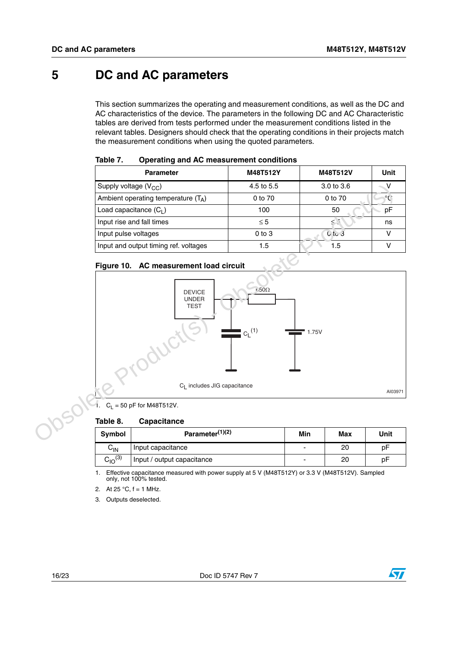### <span id="page-15-0"></span>**5 DC and AC parameters**

This section summarizes the operating and measurement conditions, as well as the DC and AC characteristics of the device. The parameters in the following DC and AC Characteristic tables are derived from tests performed under the measurement conditions listed in the relevant tables. Designers should check that the operating conditions in their projects match the measurement conditions when using the quoted parameters.

| <b>Parameter</b>                      | M48T512Y   | M48T512V   | Unit    |
|---------------------------------------|------------|------------|---------|
| Supply voltage $(V_{CC})$             | 4.5 to 5.5 | 3.0 to 3.6 |         |
| Ambient operating temperature $(T_A)$ | 0 to 70    | 0 to 70    | $\circ$ |
| Load capacitance $(C_1)$              | 100        | 50         | рF      |
| Input rise and fall times             | $\leq 5$   |            | ns      |
| Input pulse voltages                  | $0$ to $3$ | $0$ to 3   |         |
| Input and output timing ref. voltages | 1.5        | 1.5        |         |

<span id="page-15-1"></span>

| Table 7. | Operating and AC measurement conditions |  |
|----------|-----------------------------------------|--|
|          |                                         |  |

#### <span id="page-15-3"></span>**Figure 10. AC measurement load circuit**



 $C_L$  = 50 pF for M48T512V.

#### <span id="page-15-2"></span>**Table 8. Capacitance**

| Symbol            | Parameter <sup>(1)(2)</sup> | Min | Max | Unit |
|-------------------|-----------------------------|-----|-----|------|
| $C_{\mathsf{IN}}$ | Input capacitance           |     | 20  | рF   |
| $C_{10}^{(3)}$    | Input / output capacitance  | -   | 20  | рF   |

1. Effective capacitance measured with power supply at 5 V (M48T512Y) or 3.3 V (M48T512V). Sampled only, not 100% tested.

- 2. At 25  $^{\circ}$ C, f = 1 MHz.
- 3. Outputs deselected.

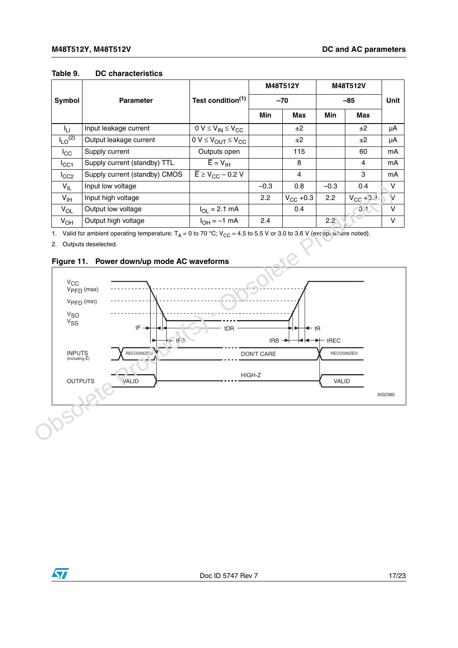#### <span id="page-16-0"></span>**Table 9. DC characteristics**

|                         |                               |                                          |            | M48T512Y          | M48T512V      |                            |             |
|-------------------------|-------------------------------|------------------------------------------|------------|-------------------|---------------|----------------------------|-------------|
| Symbol                  | <b>Parameter</b>              | Test condition <sup>(1)</sup>            |            | $-70$             |               | $-85$                      | <b>Unit</b> |
|                         |                               |                                          | <b>Min</b> | Max               | <b>Min</b>    | Max                        |             |
| Īц                      | Input leakage current         | $0 V \leq V_{IN} \leq V_{CC}$            |            | ±2                |               | ±2                         | μA          |
| $I_{LO}$ <sup>(2)</sup> | Output leakage current        | $0 V \leq V_{OUT} \leq V_{CC}$           |            | ±2                |               | ±2                         | μA          |
| ICC                     | Supply current                | Outputs open                             |            | 115               |               | 60                         | mA          |
| ICC1                    | Supply current (standby) TTL  | $\overline{E} = V_{\text{IH}}$           |            | 8                 |               | 4                          | mA          |
| ICC2                    | Supply current (standby) CMOS | $\overline{E}$ ≥ V <sub>CC</sub> – 0.2 V |            | $\overline{4}$    |               | 3                          | mA          |
| $V_{IL}$                | Input low voltage             |                                          | $-0.3$     | 0.8               | $-0.3$        | 0.4                        | V           |
| V <sub>IH</sub>         | Input high voltage            |                                          | 2.2        | $V_{\rm CC}$ +0.3 | $2.2^{\circ}$ | $V_{CC}$ + 0. $\leftarrow$ | $\vee$      |
| $V_{OL}$                | Output low voltage            | $I_{OL} = 2.1$ mA                        |            | 0.4               |               | 0.1                        | v           |
| $V_{OH}$                | Output high voltage           | $I_{OH} = -1$ mA                         | 2.4        |                   | $2.2^{\circ}$ |                            | v           |

1. Valid for ambient operating temperature:  $T_A = 0$  to 70 °C;  $V_{CC} = 4.5$  to 5.5 V or 3.0 to 3.6 V (except where noted).

2. Outputs deselected.

<span id="page-16-1"></span>



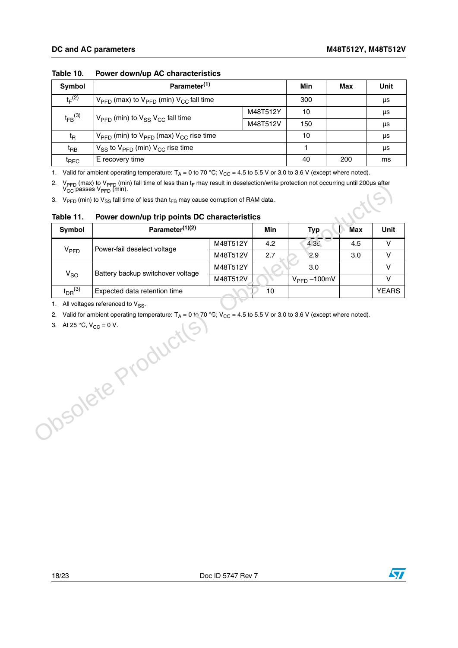| Symbol                        | Parameter <sup>(1)</sup>                                                   | Min      | Max | Unit |    |
|-------------------------------|----------------------------------------------------------------------------|----------|-----|------|----|
| $t_F^{(2)}$                   | $V_{\text{PFD}}$ (max) to $V_{\text{PFD}}$ (min) $V_{\text{GC}}$ fall time | 300      |     | μs   |    |
| $t_{FB}$ (3)                  | $V_{\text{PFD}}$ (min) to $V_{\text{SS}}$ $V_{\text{CC}}$ fall time        | M48T512Y | 10  |      | μs |
|                               | M48T512V                                                                   |          | 150 |      | μs |
| t <sub>R</sub>                | $V_{\text{PFD}}$ (min) to $V_{\text{PFD}}$ (max) $V_{\text{CC}}$ rise time | 10       |     | μs   |    |
| <sup>t</sup> вв               | $V_{SS}$ to $V_{PFD}$ (min) $V_{CC}$ rise time                             |          |     | μs   |    |
| $\mathfrak{t}_{\mathsf{REC}}$ | $E$ recovery time                                                          |          | 40  | 200  | ms |

#### <span id="page-17-0"></span>**Table 10. Power down/up AC characteristics**

1. Valid for ambient operating temperature:  $T_A = 0$  to 70 °C;  $V_{CC} = 4.5$  to 5.5 V or 3.0 to 3.6 V (except where noted).

2. V<sub>PFD</sub> (max) to V<sub>PFD</sub> (min) fall time of less than t<sub>F</sub> may result in deselection/write protection not occurring until 200µs after V<sub>CC</sub> passes V<sub>PFD</sub> (min). **MICKS** 

| V <sub>PPD</sub>        | Power-fail deselect voltage       | M48T512Y | 4.2 | 4.35                             |     |
|-------------------------|-----------------------------------|----------|-----|----------------------------------|-----|
|                         |                                   |          |     |                                  | 4.5 |
|                         |                                   | M48T512V | 2.7 | 2.9                              | 3.0 |
|                         | Battery backup switchover voltage | M48T512Y |     | 3.0                              |     |
| $V_{SO}$                |                                   | M48T512V |     | $V_{\text{PFD}} - 100 \text{mV}$ |     |
| $t_{DR}$ <sup>(3)</sup> | Expected data retention time      |          | 10  |                                  |     |
|                         | Josolete Productl                 |          |     |                                  |     |

#### <span id="page-17-1"></span>**Table 11. Power down/up trip points DC characteristics**

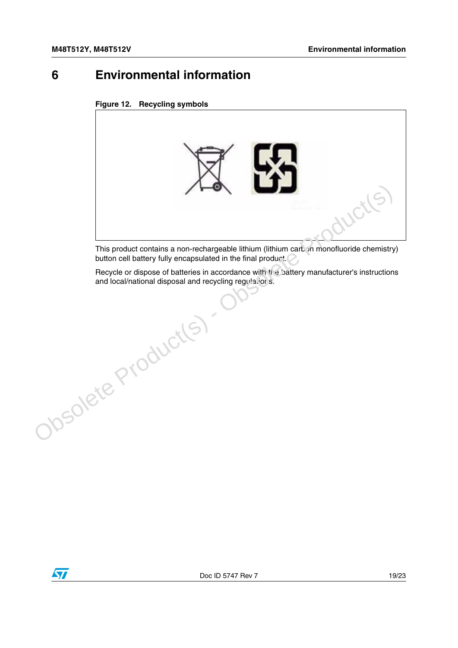### <span id="page-18-0"></span>**6 Environmental information**

<span id="page-18-1"></span>



This product contains a non-rechargeable lithium (lithium carbon monofluoride chemistry) button cell battery fully encapsulated in the final product.

Recycle or dispose of batteries in accordance with the battery manufacturer's instructions and local/national disposal and recycling regulations.

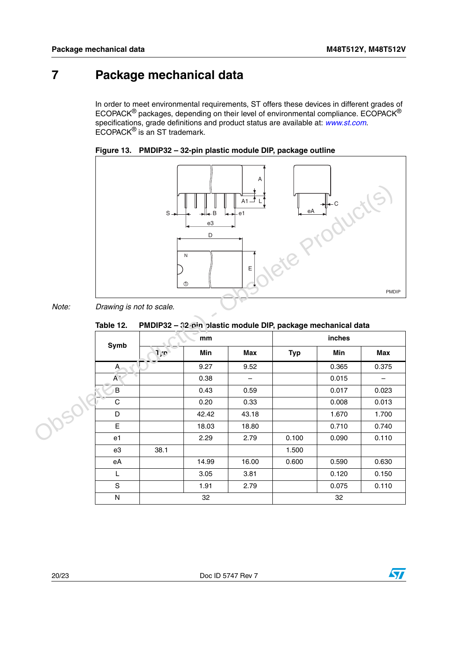## <span id="page-19-0"></span>**7 Package mechanical data**

In order to meet environmental requirements, ST offers these devices in different grades of ECOPACK® packages, depending on their level of environmental compliance. ECOPACK® specifications, grade definitions and product status are available at: *[www.st.com](http://www.st.com)*. ECOPACK<sup>®</sup> is an ST trademark.

<span id="page-19-2"></span>



#### *Note: Drawing is not to scale.*

<span id="page-19-1"></span>**Table 12. PMDIP32 – 32-pin plastic module DIP, package mechanical data**

|       |                          | $S \rightarrow$                                                    | R<br>e3<br>D<br>N<br>$\circled{0}$ | $A1 -$<br>e1<br>$\mathsf E$ |            | BA H-C |                   |
|-------|--------------------------|--------------------------------------------------------------------|------------------------------------|-----------------------------|------------|--------|-------------------|
| Note: | Drawing is not to scale. |                                                                    |                                    |                             |            |        | PMDIP             |
|       | Table 12.                | PMDIP32 - 32 pin plastic module DIP, package mechanical data<br>mm |                                    |                             | inches     |        |                   |
|       | Symb                     | 1, p                                                               | Min                                | <b>Max</b>                  | <b>Typ</b> | Min    | <b>Max</b>        |
|       | A                        |                                                                    | 9.27                               | 9.52                        |            | 0.365  | 0.375             |
|       | A <sub>1</sub>           |                                                                    | 0.38                               | $\overline{\phantom{0}}$    |            | 0.015  | $\qquad \qquad -$ |
|       | B                        |                                                                    | 0.43                               | 0.59                        |            | 0.017  | 0.023             |
|       | $\mathsf C$              |                                                                    | 0.20                               | 0.33                        |            | 0.008  | 0.013             |
|       | D                        |                                                                    | 42.42                              | 43.18                       |            | 1.670  | 1.700             |
|       | E                        |                                                                    | 18.03                              | 18.80                       |            | 0.710  | 0.740             |
|       | e <sub>1</sub>           |                                                                    | 2.29                               | 2.79                        | 0.100      | 0.090  | 0.110             |
|       | e3                       | 38.1                                                               |                                    |                             | 1.500      |        |                   |
|       | eA                       |                                                                    | 14.99                              | 16.00                       | 0.600      | 0.590  | 0.630             |
|       | L                        |                                                                    | 3.05                               | 3.81                        |            | 0.120  | 0.150             |
|       | ${\mathbb S}$            |                                                                    | 1.91                               | 2.79                        |            | 0.075  | 0.110             |
|       | ${\sf N}$                |                                                                    | 32                                 |                             |            | 32     |                   |

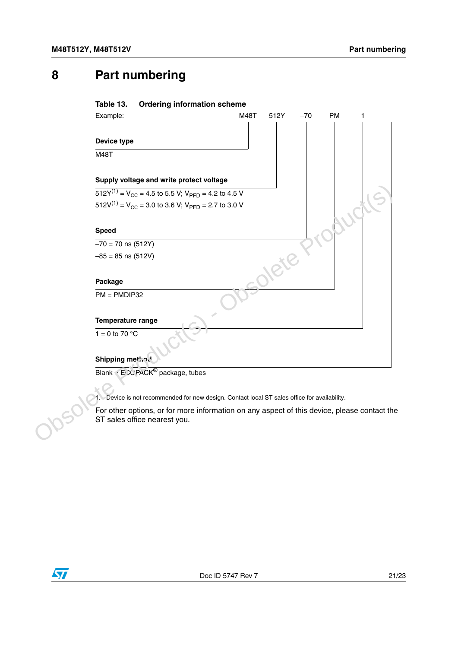### <span id="page-20-1"></span><span id="page-20-0"></span>**8 Part numbering**

# **Table 13. Ordering information scheme** Example: M48T 512Y -70 PM **Device type** M48T **Supply voltage and write protect voltage**  $512Y^{(1)} = V_{CC} = 4.5$  to 5.5 V;  $V_{PFD} = 4.2$  to 4.5 V  $512V^{(1)} = V_{CC} = 3.0$  to 3.6 V;  $V_{PFD} = 2.7$  to 3.0 V **Speed**  $-70 = 70$  ns (512Y)  $-85 = 85$  ns (512V) **Package**  $PM = PMDIP32$ **Temperature range**  $1 = 0$  to 70 °C **Shipping method** Blank · ECOPACK<sup>®</sup> package, tubes ST2Y<sup>(1)</sup> = V<sub>CC</sub> = 4.5 to 5.5 V, V<sub>PFD</sub> = 4.2 to 4.5 V<br>
ST2V<sup>(1)</sup> = V<sub>CC</sub> = 3.0 to 3.6 V, V<sub>PFD</sub> = 2.7 to 3.0 V<br>
Speed<br>  $\frac{-70-70 \text{ ns (512Y)}}{-70-70 \text{ ns (512Y)}}$ <br>  $-85 = 85 \text{ ns (512V)}$ <br>
PM = PMDIP32<br>
Temperature range<br>  $\frac{1}{1}$

<span id="page-20-2"></span>1. Device is not recommended for new design. Contact local ST sales office for availability.

For other options, or for more information on any aspect of this device, please contact the ST sales office nearest you.

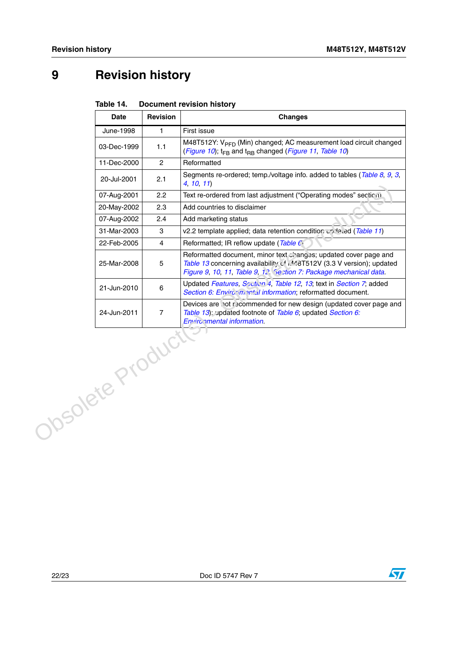# <span id="page-21-0"></span>**9 Revision history**

<span id="page-21-1"></span>

| Table 14. | <b>Document revision history</b> |  |
|-----------|----------------------------------|--|
|           |                                  |  |

|                  | <b>Date</b> | <b>Revision</b>         | <b>Changes</b>                                                                                                                                                                                                   |  |  |  |
|------------------|-------------|-------------------------|------------------------------------------------------------------------------------------------------------------------------------------------------------------------------------------------------------------|--|--|--|
|                  | June-1998   | 1                       | First issue                                                                                                                                                                                                      |  |  |  |
|                  | 03-Dec-1999 | 1.1                     | M48T512Y: V <sub>PFD</sub> (Min) changed; AC measurement load circuit changed<br>(Figure 10); t <sub>FB</sub> and t <sub>RB</sub> changed (Figure 11, Table 10)                                                  |  |  |  |
|                  | 11-Dec-2000 | $\overline{2}$          | Reformatted                                                                                                                                                                                                      |  |  |  |
|                  | 20-Jul-2001 | 2.1                     | Segments re-ordered; temp./voltage info. added to tables (Table 8, 9, 3,<br>4, 10, 11                                                                                                                            |  |  |  |
|                  | 07-Aug-2001 | 2.2                     | Text re-ordered from last adjustment ("Operating modes" section)                                                                                                                                                 |  |  |  |
|                  | 20-May-2002 | 2.3                     | Add countries to disclaimer                                                                                                                                                                                      |  |  |  |
|                  | 07-Aug-2002 | 2.4                     | Add marketing status                                                                                                                                                                                             |  |  |  |
|                  | 31-Mar-2003 | 3                       | v2.2 template applied; data retention condition updated (Table 11)                                                                                                                                               |  |  |  |
|                  | 22-Feb-2005 | $\overline{\mathbf{4}}$ | Reformatted; IR reflow update (Table C)                                                                                                                                                                          |  |  |  |
|                  | 25-Mar-2008 | 5                       | Reformatted document, minor text changes; updated cover page and<br>Table 13 concerning availability of MM-8T512V (3.3 V version); updated<br>Figure 9, 10, 11, Table 9, 12, Sextion 7: Package mechanical data. |  |  |  |
|                  | 21-Jun-2010 | $\,6\,$                 | Updated Features, Soution 4, Table 12, 13; text in Section 7; added<br>Section 6: Enviror mental information; reformatted document.                                                                              |  |  |  |
|                  | 24-Jun-2011 | $\overline{7}$          | Devices are not recommended for new design (updated cover page and<br>Table 13): updated footnote of Table 6; updated Section 6:<br>Environmental information.                                                   |  |  |  |
| Obsolete Product |             |                         |                                                                                                                                                                                                                  |  |  |  |